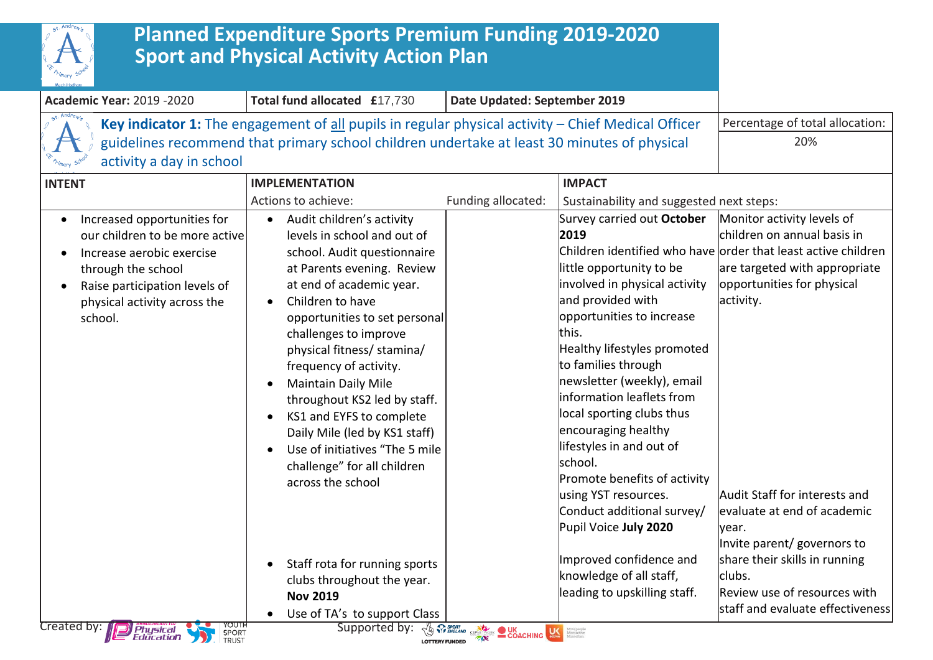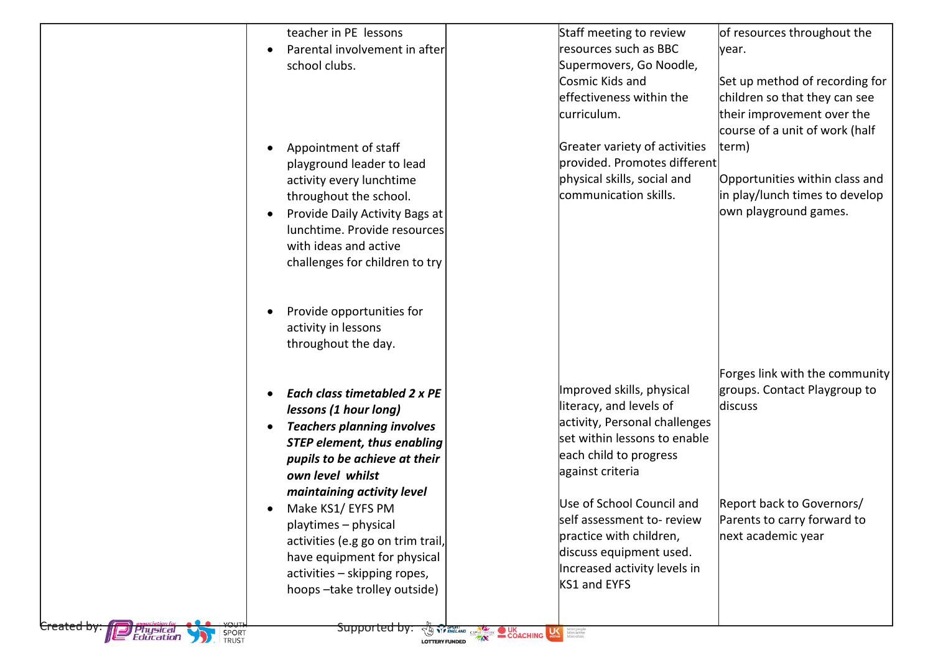| teacher in PE lessons<br>Parental involvement in after<br>$\bullet$<br>school clubs.                                                                                                                                                                                                       | Staff meeting to review<br>resources such as BBC<br>lyear.<br>Supermovers, Go Noodle,<br>Cosmic Kids and<br>effectiveness within the<br>curriculum.                                                         | of resources throughout the<br>Set up method of recording for<br>children so that they can see<br>their improvement over the<br>course of a unit of work (half |
|--------------------------------------------------------------------------------------------------------------------------------------------------------------------------------------------------------------------------------------------------------------------------------------------|-------------------------------------------------------------------------------------------------------------------------------------------------------------------------------------------------------------|----------------------------------------------------------------------------------------------------------------------------------------------------------------|
| Appointment of staff<br>playground leader to lead<br>activity every lunchtime<br>throughout the school.<br>Provide Daily Activity Bags at<br>lunchtime. Provide resources<br>with ideas and active<br>challenges for children to try                                                       | Greater variety of activities<br>term)<br>provided. Promotes different<br>physical skills, social and<br>communication skills.                                                                              | Opportunities within class and<br>in play/lunch times to develop<br>own playground games.                                                                      |
| Provide opportunities for<br>activity in lessons<br>throughout the day.                                                                                                                                                                                                                    |                                                                                                                                                                                                             |                                                                                                                                                                |
| Each class timetabled 2 x PE<br>lessons (1 hour long)<br><b>Teachers planning involves</b><br><b>STEP element, thus enabling</b><br>pupils to be achieve at their<br>own level whilst<br>maintaining activity level                                                                        | Improved skills, physical<br>literacy, and levels of<br>discuss<br>activity, Personal challenges<br>set within lessons to enable<br>each child to progress<br>against criteria<br>Use of School Council and | Forges link with the community<br>groups. Contact Playgroup to<br>Report back to Governors/                                                                    |
| Make KS1/ EYFS PM<br>playtimes - physical<br>activities (e.g go on trim trail,<br>have equipment for physical<br>activities - skipping ropes,<br>hoops-take trolley outside)<br><del>Supported by.</del><br><del>Created by:</del><br>l Physical<br>Education<br>CONTENGLAND CSPN<br>SPORT | self assessment to- review<br>practice with children,<br>discuss equipment used.<br>Increased activity levels in<br>KS1 and EYFS<br>COACHING<br><b>More people</b>                                          | Parents to carry forward to<br>next academic year                                                                                                              |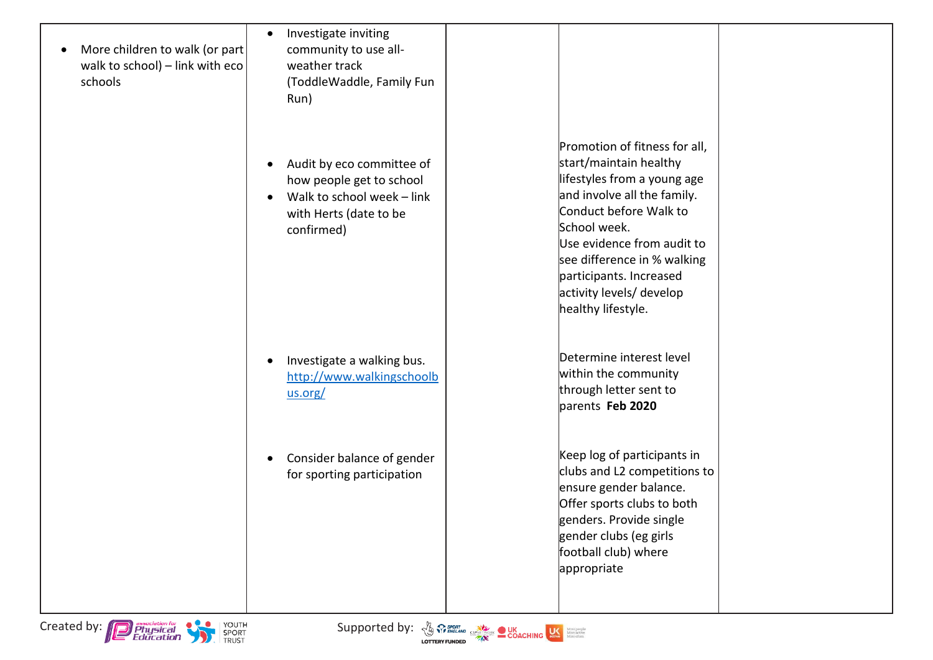- $\bullet$  More children to walk (or part walk to school) – link with eco schools
- Investigate inviting community to use allweather track (ToddleWaddle, Family Fun Run)
- Audit by eco committee of how people get to school
- Walk to school week link with Herts (date to be confirmed)

- Investigate a walking bus. [http://www.walkingschoolb](http://www.walkingschoolbus.org/) [us.org/](http://www.walkingschoolbus.org/)
- Consider balance of gender for sporting participation

Promotion of fitness for all, start/maintain healthy lifestyles from a young age and involve all the family. Conduct before Walk to School week. Use evidence from audit to see difference in % walking participants. Increased activity levels/ develop healthy lifestyle.

Determine interest level within the community through letter sent to parents **Feb 2020**

Keep log of participants in clubs and L2 competitions to ensure gender balance. Offer sports clubs to both genders. Provide single gender clubs (eg girls football club) where appropriate





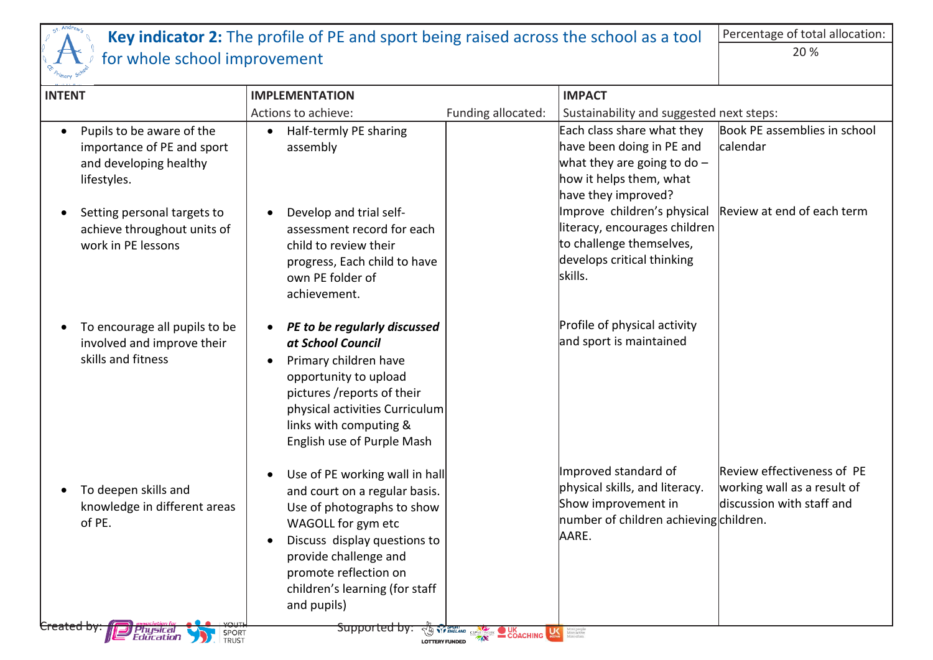

## **Key indicator 2:** The profile of PE and sport being raised across the school as a tool for whole school improvement Percentage of total allocation: 20 %

| <b>INTENT</b>                                                                                    | <b>IMPLEMENTATION</b>                                                                                                                                                                                                                                  |                                                                             | <b>IMPACT</b>                                                                                                                              |                                                                                        |
|--------------------------------------------------------------------------------------------------|--------------------------------------------------------------------------------------------------------------------------------------------------------------------------------------------------------------------------------------------------------|-----------------------------------------------------------------------------|--------------------------------------------------------------------------------------------------------------------------------------------|----------------------------------------------------------------------------------------|
|                                                                                                  | Actions to achieve:                                                                                                                                                                                                                                    | Funding allocated:                                                          | Sustainability and suggested next steps:                                                                                                   |                                                                                        |
| Pupils to be aware of the<br>importance of PE and sport<br>and developing healthy<br>lifestyles. | Half-termly PE sharing<br>$\bullet$<br>assembly                                                                                                                                                                                                        |                                                                             | Each class share what they<br>have been doing in PE and<br>what they are going to do $-$<br>how it helps them, what<br>have they improved? | Book PE assemblies in school<br>lcalendar                                              |
| Setting personal targets to<br>achieve throughout units of<br>work in PE lessons                 | Develop and trial self-<br>assessment record for each<br>child to review their<br>progress, Each child to have<br>own PE folder of<br>achievement.                                                                                                     |                                                                             | Improve children's physical<br>literacy, encourages children<br>to challenge themselves,<br>develops critical thinking<br>skills.          | Review at end of each term                                                             |
| To encourage all pupils to be<br>involved and improve their<br>skills and fitness                | PE to be regularly discussed<br>at School Council<br>Primary children have<br>opportunity to upload<br>pictures /reports of their<br>physical activities Curriculum<br>links with computing &<br>English use of Purple Mash                            |                                                                             | Profile of physical activity<br>and sport is maintained                                                                                    |                                                                                        |
| To deepen skills and<br>knowledge in different areas<br>of PE.                                   | Use of PE working wall in hall<br>and court on a regular basis.<br>Use of photographs to show<br>WAGOLL for gym etc<br>Discuss display questions to<br>provide challenge and<br>promote reflection on<br>children's learning (for staff<br>and pupils) |                                                                             | Improved standard of<br>physical skills, and literacy.<br>Show improvement in<br>number of children achieving children.<br>AARE.           | Review effectiveness of PE<br>working wall as a result of<br>discussion with staff and |
| Physical<br>Education<br>SPORT<br><b>TRUST</b>                                                   | <del>Supported by:</del>                                                                                                                                                                                                                               | <b>TAN COACHING AND COACHING COACHING COACHING</b><br><b>LOTTERY FUNDED</b> | More people<br>More active<br>More often                                                                                                   |                                                                                        |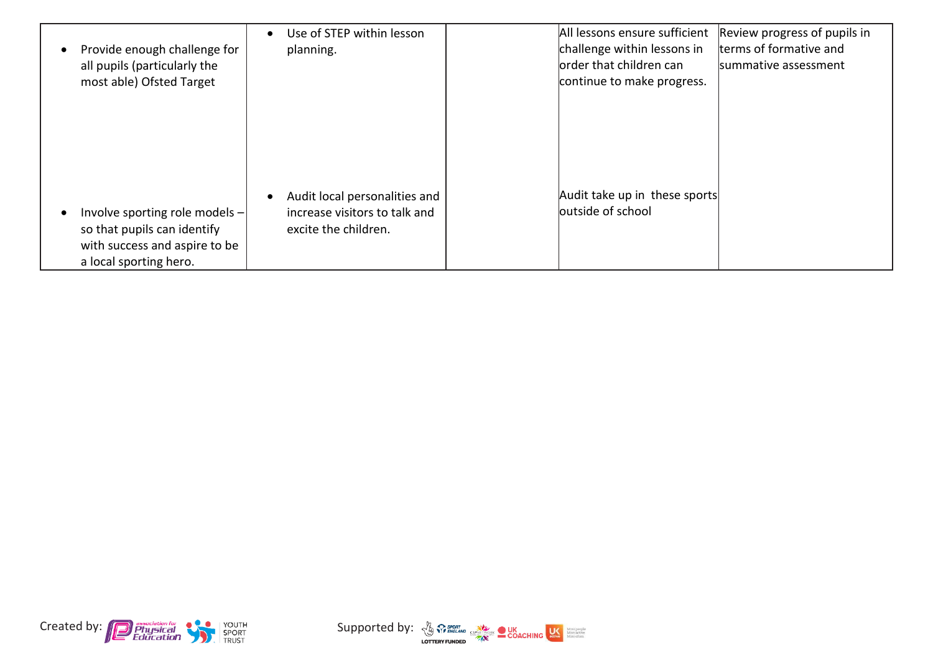| $\bullet$ | Provide enough challenge for<br>all pupils (particularly the<br>most able) Ofsted Target                                   | Use of STEP within lesson<br>$\bullet$<br>planning.                                                 | All lessons ensure sufficient<br>challenge within lessons in<br>lorder that children can<br>continue to make progress. | Review progress of pupils in<br>terms of formative and<br>summative assessment |
|-----------|----------------------------------------------------------------------------------------------------------------------------|-----------------------------------------------------------------------------------------------------|------------------------------------------------------------------------------------------------------------------------|--------------------------------------------------------------------------------|
| ٠         | Involve sporting role models $-$<br>so that pupils can identify<br>with success and aspire to be<br>a local sporting hero. | Audit local personalities and<br>$\bullet$<br>increase visitors to talk and<br>excite the children. | Audit take up in these sports<br>outside of school                                                                     |                                                                                |



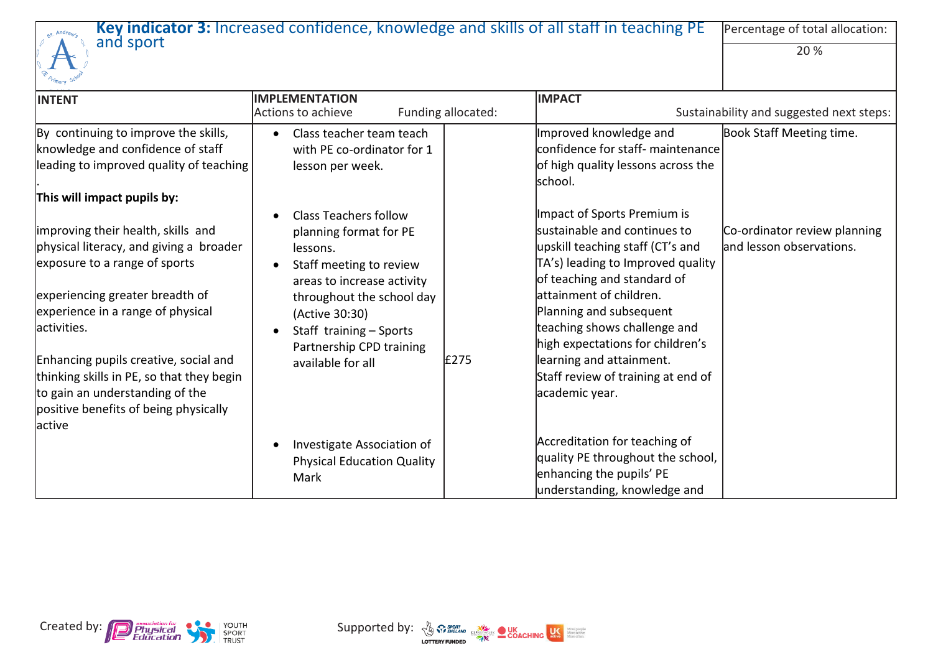|                                                                                                                                                                                                                                                                                                                                                                         | Key indicator 3: Increased confidence, knowledge and skills of all staff in teaching PE                                                                                                                                                                |                    |                                                                                                                                                                                                                                                                                                                                                                                    | Percentage of total allocation:                           |
|-------------------------------------------------------------------------------------------------------------------------------------------------------------------------------------------------------------------------------------------------------------------------------------------------------------------------------------------------------------------------|--------------------------------------------------------------------------------------------------------------------------------------------------------------------------------------------------------------------------------------------------------|--------------------|------------------------------------------------------------------------------------------------------------------------------------------------------------------------------------------------------------------------------------------------------------------------------------------------------------------------------------------------------------------------------------|-----------------------------------------------------------|
| and sport                                                                                                                                                                                                                                                                                                                                                               |                                                                                                                                                                                                                                                        |                    |                                                                                                                                                                                                                                                                                                                                                                                    | 20 %                                                      |
| <b>INTENT</b>                                                                                                                                                                                                                                                                                                                                                           | <b>IMPLEMENTATION</b>                                                                                                                                                                                                                                  |                    | <b>IMPACT</b>                                                                                                                                                                                                                                                                                                                                                                      |                                                           |
|                                                                                                                                                                                                                                                                                                                                                                         | Actions to achieve                                                                                                                                                                                                                                     | Funding allocated: |                                                                                                                                                                                                                                                                                                                                                                                    | Sustainability and suggested next steps:                  |
| By continuing to improve the skills,                                                                                                                                                                                                                                                                                                                                    | Class teacher team teach                                                                                                                                                                                                                               |                    | Improved knowledge and                                                                                                                                                                                                                                                                                                                                                             | Book Staff Meeting time.                                  |
| knowledge and confidence of staff                                                                                                                                                                                                                                                                                                                                       | with PE co-ordinator for 1                                                                                                                                                                                                                             |                    | confidence for staff- maintenance                                                                                                                                                                                                                                                                                                                                                  |                                                           |
| leading to improved quality of teaching                                                                                                                                                                                                                                                                                                                                 | lesson per week.                                                                                                                                                                                                                                       |                    | of high quality lessons across the<br>school.                                                                                                                                                                                                                                                                                                                                      |                                                           |
| This will impact pupils by:                                                                                                                                                                                                                                                                                                                                             |                                                                                                                                                                                                                                                        |                    |                                                                                                                                                                                                                                                                                                                                                                                    |                                                           |
| improving their health, skills and<br>physical literacy, and giving a broader<br>exposure to a range of sports<br>experiencing greater breadth of<br>experience in a range of physical<br>activities.<br>Enhancing pupils creative, social and<br>thinking skills in PE, so that they begin<br>to gain an understanding of the<br>positive benefits of being physically | <b>Class Teachers follow</b><br>planning format for PE<br>lessons.<br>Staff meeting to review<br>areas to increase activity<br>throughout the school day<br>(Active 30:30)<br>Staff training - Sports<br>Partnership CPD training<br>available for all | £275               | Impact of Sports Premium is<br>sustainable and continues to<br>upskill teaching staff (CT's and<br>TA's) leading to Improved quality<br>of teaching and standard of<br>lattainment of children.<br>Planning and subsequent<br>teaching shows challenge and<br>high expectations for children's<br>learning and attainment.<br>Staff review of training at end of<br>academic year. | Co-ordinator review planning<br>land lesson observations. |
| lactive                                                                                                                                                                                                                                                                                                                                                                 | Investigate Association of<br><b>Physical Education Quality</b><br>Mark                                                                                                                                                                                |                    | Accreditation for teaching of<br>quality PE throughout the school,<br>enhancing the pupils' PE<br>understanding, knowledge and                                                                                                                                                                                                                                                     |                                                           |



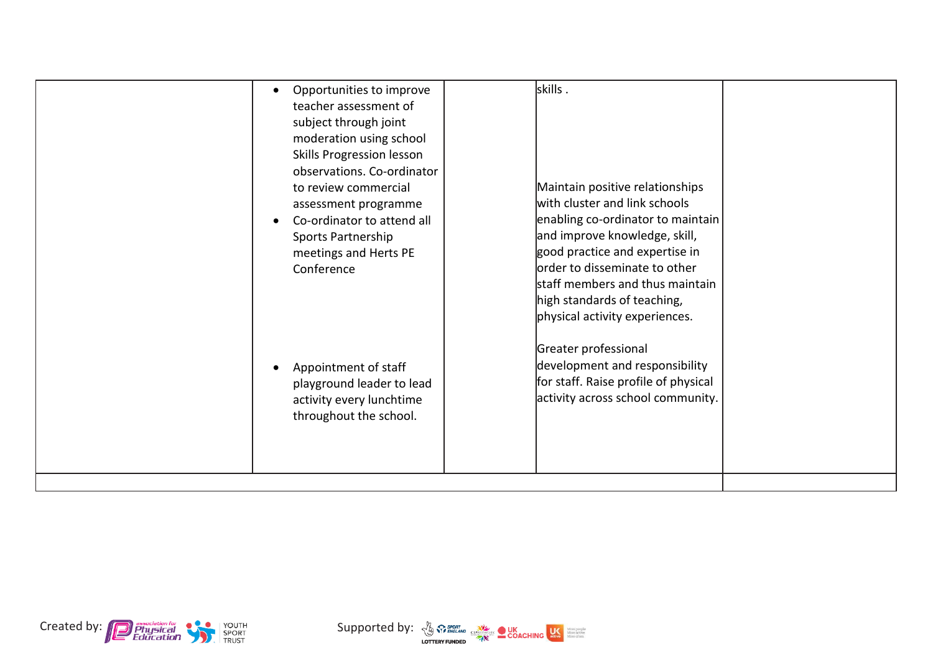| Opportunities to improve<br>teacher assessment of<br>subject through joint<br>moderation using school<br>Skills Progression lesson<br>observations. Co-ordinator<br>to review commercial<br>assessment programme<br>Co-ordinator to attend all<br>Sports Partnership<br>meetings and Herts PE<br>Conference | skills.<br>Maintain positive relationships<br>with cluster and link schools<br>enabling co-ordinator to maintain<br>and improve knowledge, skill,<br>good practice and expertise in<br>order to disseminate to other<br>staff members and thus maintain<br>high standards of teaching,<br>physical activity experiences. |
|-------------------------------------------------------------------------------------------------------------------------------------------------------------------------------------------------------------------------------------------------------------------------------------------------------------|--------------------------------------------------------------------------------------------------------------------------------------------------------------------------------------------------------------------------------------------------------------------------------------------------------------------------|
| Appointment of staff                                                                                                                                                                                                                                                                                        | Greater professional                                                                                                                                                                                                                                                                                                     |
| playground leader to lead                                                                                                                                                                                                                                                                                   | development and responsibility                                                                                                                                                                                                                                                                                           |
| activity every lunchtime                                                                                                                                                                                                                                                                                    | for staff. Raise profile of physical                                                                                                                                                                                                                                                                                     |
| throughout the school.                                                                                                                                                                                                                                                                                      | activity across school community.                                                                                                                                                                                                                                                                                        |



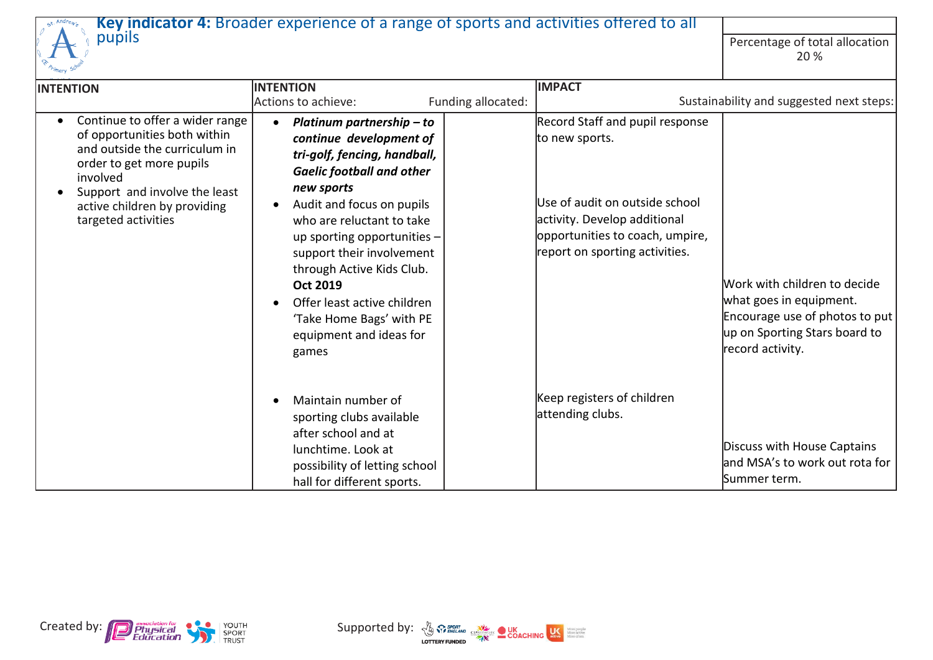

## **Key indicator 4:** Broader experience of a range of sports and activities offered to all pupils **Exercise Community** Community Community Community Percentage of total allocation

Percentage of total allocation<br>20 %

| <b>INTENTION</b>                                                                                                                                                                                                                 | <b>INTENTION</b>                                                                                                                                                                                                                                                                                                                                                                                            |                    | <b>IMPACT</b>                                                                                                                                                                            |                                                                                                                                                |
|----------------------------------------------------------------------------------------------------------------------------------------------------------------------------------------------------------------------------------|-------------------------------------------------------------------------------------------------------------------------------------------------------------------------------------------------------------------------------------------------------------------------------------------------------------------------------------------------------------------------------------------------------------|--------------------|------------------------------------------------------------------------------------------------------------------------------------------------------------------------------------------|------------------------------------------------------------------------------------------------------------------------------------------------|
|                                                                                                                                                                                                                                  | Actions to achieve:                                                                                                                                                                                                                                                                                                                                                                                         | Funding allocated: |                                                                                                                                                                                          | Sustainability and suggested next steps:                                                                                                       |
| Continue to offer a wider range<br>of opportunities both within<br>and outside the curriculum in<br>order to get more pupils<br>involved<br>Support and involve the least<br>active children by providing<br>targeted activities | Platinum partnership - to<br>continue development of<br>tri-golf, fencing, handball,<br><b>Gaelic football and other</b><br>new sports<br>Audit and focus on pupils<br>who are reluctant to take<br>up sporting opportunities -<br>support their involvement<br>through Active Kids Club.<br><b>Oct 2019</b><br>Offer least active children<br>'Take Home Bags' with PE<br>equipment and ideas for<br>games |                    | Record Staff and pupil response<br>to new sports.<br>Use of audit on outside school<br>activity. Develop additional<br>opportunities to coach, umpire,<br>report on sporting activities. | Work with children to decide<br>what goes in equipment.<br>Encourage use of photos to put<br>up on Sporting Stars board to<br>record activity. |
|                                                                                                                                                                                                                                  | Maintain number of<br>sporting clubs available<br>after school and at<br>lunchtime. Look at<br>possibility of letting school<br>hall for different sports.                                                                                                                                                                                                                                                  |                    | Keep registers of children<br>attending clubs.                                                                                                                                           | Discuss with House Captains<br>and MSA's to work out rota for<br>Summer term.                                                                  |



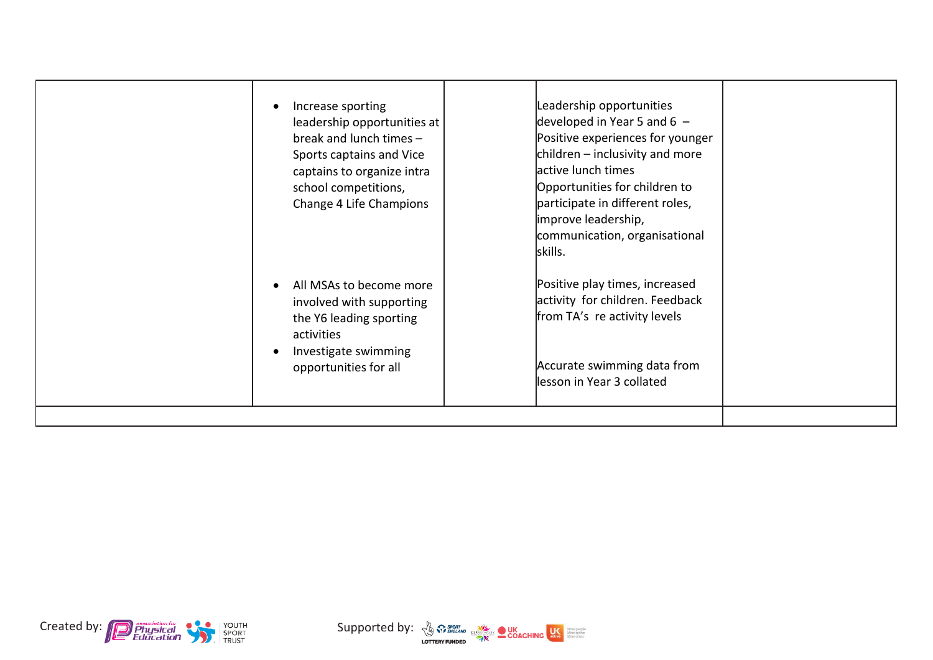| Increase sporting<br>leadership opportunities at<br>break and lunch times -<br>Sports captains and Vice<br>captains to organize intra<br>school competitions,<br>Change 4 Life Champions | Leadership opportunities<br>developed in Year 5 and 6 $-$<br>Positive experiences for younger<br>children $-$ inclusivity and more<br>active lunch times<br>Opportunities for children to<br>participate in different roles,<br>improve leadership,<br>communication, organisational<br>skills. |  |
|------------------------------------------------------------------------------------------------------------------------------------------------------------------------------------------|-------------------------------------------------------------------------------------------------------------------------------------------------------------------------------------------------------------------------------------------------------------------------------------------------|--|
| All MSAs to become more<br>involved with supporting<br>the Y6 leading sporting<br>activities<br>Investigate swimming<br>opportunities for all                                            | Positive play times, increased<br>activity for children. Feedback<br>from TA's re activity levels<br>Accurate swimming data from<br>lesson in Year 3 collated                                                                                                                                   |  |



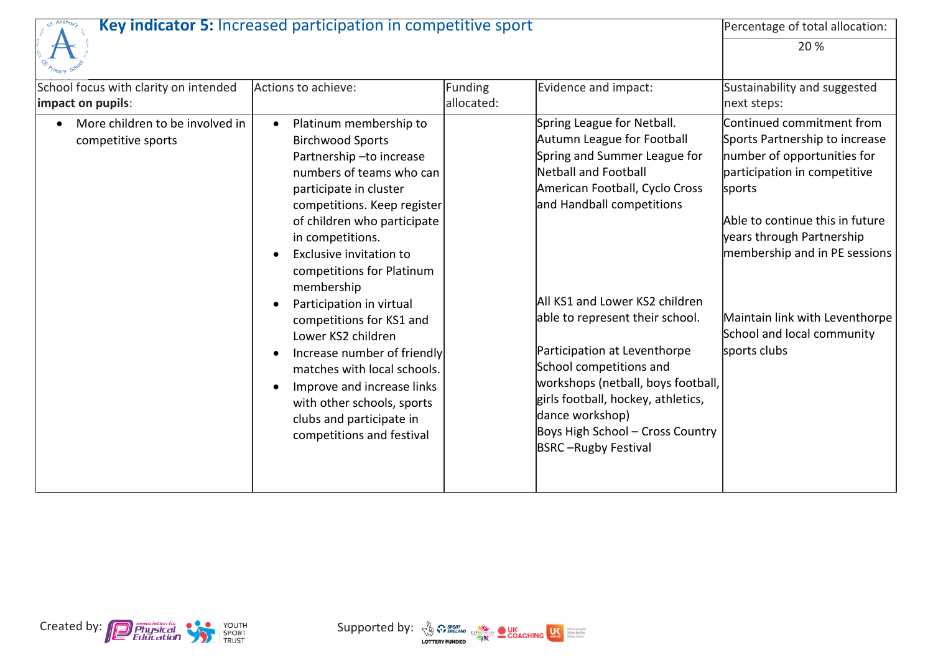

## **Key indicator 5:** Increased participation in competitive sport Percentage of total allocation:

20 %

| mary -                                                     |                                                                                                                                                                                                                                                                                                                                                                                                                                                                                                                                                             |                       |                                                                                                                                                                                                                                                                                                                                                                                                                                                                                  |                                                                                                                                                                                                                                                                                                                       |
|------------------------------------------------------------|-------------------------------------------------------------------------------------------------------------------------------------------------------------------------------------------------------------------------------------------------------------------------------------------------------------------------------------------------------------------------------------------------------------------------------------------------------------------------------------------------------------------------------------------------------------|-----------------------|----------------------------------------------------------------------------------------------------------------------------------------------------------------------------------------------------------------------------------------------------------------------------------------------------------------------------------------------------------------------------------------------------------------------------------------------------------------------------------|-----------------------------------------------------------------------------------------------------------------------------------------------------------------------------------------------------------------------------------------------------------------------------------------------------------------------|
| School focus with clarity on intended<br>impact on pupils: | Actions to achieve:                                                                                                                                                                                                                                                                                                                                                                                                                                                                                                                                         | Funding<br>allocated: | Evidence and impact:                                                                                                                                                                                                                                                                                                                                                                                                                                                             | Sustainability and suggested<br>next steps:                                                                                                                                                                                                                                                                           |
| More children to be involved in<br>competitive sports      | Platinum membership to<br><b>Birchwood Sports</b><br>Partnership-to increase<br>numbers of teams who can<br>participate in cluster<br>competitions. Keep register<br>of children who participate<br>in competitions.<br>Exclusive invitation to<br>competitions for Platinum<br>membership<br>Participation in virtual<br>competitions for KS1 and<br>Lower KS2 children<br>Increase number of friendly<br>matches with local schools.<br>Improve and increase links<br>with other schools, sports<br>clubs and participate in<br>competitions and festival |                       | Spring League for Netball.<br>Autumn League for Football<br>Spring and Summer League for<br>Netball and Football<br>American Football, Cyclo Cross<br>and Handball competitions<br>All KS1 and Lower KS2 children<br>able to represent their school.<br>Participation at Leventhorpe<br>School competitions and<br>workshops (netball, boys football,<br>girls football, hockey, athletics,<br>dance workshop)<br>Boys High School - Cross Country<br><b>BSRC-Rugby Festival</b> | Continued commitment from<br>Sports Partnership to increase<br>number of opportunities for<br>participation in competitive<br>sports<br>Able to continue this in future<br>years through Partnership<br>membership and in PE sessions<br>Maintain link with Leventhorpe<br>School and local community<br>sports clubs |